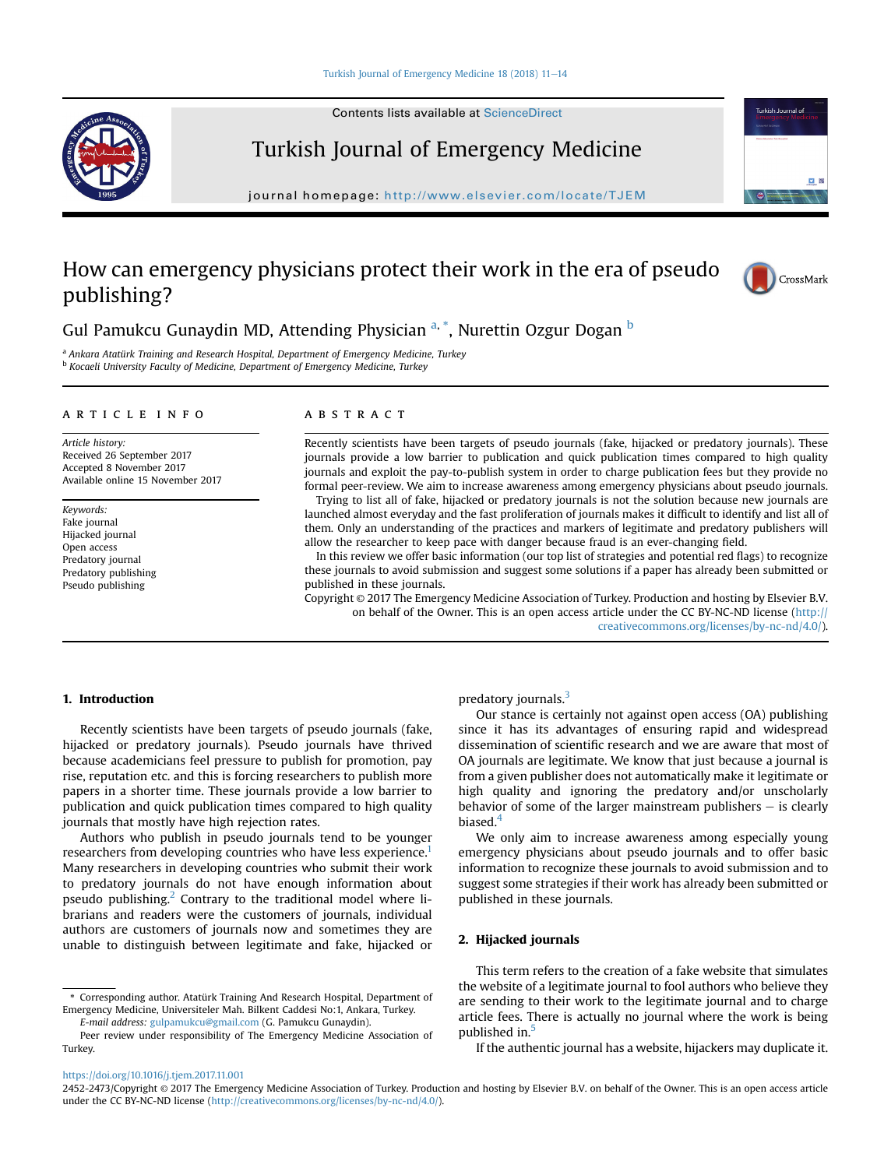Contents lists available at ScienceDirect



# Turkish Journal of Emergency Medicine

journal homepage: <http://www.elsevier.com/locate/TJEM>

# How can emergency physicians protect their work in the era of pseudo publishing?



Turkish Journal of

Gul Pamukcu Gunaydin MD, Attending Physician <sup>a, \*</sup>, Nurettin Ozgur Dogan <sup>b</sup>

<sup>a</sup> Ankara Atatürk Training and Research Hospital, Department of Emergency Medicine, Turkey <sup>b</sup> Kocaeli University Faculty of Medicine, Department of Emergency Medicine, Turkey

#### article info

Article history: Received 26 September 2017 Accepted 8 November 2017 Available online 15 November 2017

Keywords: Fake journal Hijacked journal Open access Predatory journal Predatory publishing Pseudo publishing

# ABSTRACT

Recently scientists have been targets of pseudo journals (fake, hijacked or predatory journals). These journals provide a low barrier to publication and quick publication times compared to high quality journals and exploit the pay-to-publish system in order to charge publication fees but they provide no formal peer-review. We aim to increase awareness among emergency physicians about pseudo journals.

Trying to list all of fake, hijacked or predatory journals is not the solution because new journals are launched almost everyday and the fast proliferation of journals makes it difficult to identify and list all of them. Only an understanding of the practices and markers of legitimate and predatory publishers will allow the researcher to keep pace with danger because fraud is an ever-changing field.

In this review we offer basic information (our top list of strategies and potential red flags) to recognize these journals to avoid submission and suggest some solutions if a paper has already been submitted or published in these journals.

Copyright © 2017 The Emergency Medicine Association of Turkey. Production and hosting by Elsevier B.V. on behalf of the Owner. This is an open access article under the CC BY-NC-ND license [\(http://](http://creativecommons.org/licenses/by-nc-nd/4.0/) [creativecommons.org/licenses/by-nc-nd/4.0/](http://creativecommons.org/licenses/by-nc-nd/4.0/)).

## 1. Introduction

Recently scientists have been targets of pseudo journals (fake, hijacked or predatory journals). Pseudo journals have thrived because academicians feel pressure to publish for promotion, pay rise, reputation etc. and this is forcing researchers to publish more papers in a shorter time. These journals provide a low barrier to publication and quick publication times compared to high quality journals that mostly have high rejection rates.

Authors who publish in pseudo journals tend to be younger researchers from developing countries who have less experience.<sup>1</sup> Many researchers in developing countries who submit their work to predatory journals do not have enough information about pseudo publishing.<sup>[2](#page-3-0)</sup> Contrary to the traditional model where librarians and readers were the customers of journals, individual authors are customers of journals now and sometimes they are unable to distinguish between legitimate and fake, hijacked or

\* Corresponding author. Atatürk Training And Research Hospital, Department of Emergency Medicine, Universiteler Mah. Bilkent Caddesi No:1, Ankara, Turkey. E-mail address: [gulpamukcu@gmail.com](mailto:gulpamukcu@gmail.com) (G. Pamukcu Gunaydin).

# predatory journals.<sup>[3](#page-3-0)</sup>

Our stance is certainly not against open access (OA) publishing since it has its advantages of ensuring rapid and widespread dissemination of scientific research and we are aware that most of OA journals are legitimate. We know that just because a journal is from a given publisher does not automatically make it legitimate or high quality and ignoring the predatory and/or unscholarly behavior of some of the larger mainstream publishers  $-$  is clearly biased.<sup>[4](#page-3-0)</sup>

We only aim to increase awareness among especially young emergency physicians about pseudo journals and to offer basic information to recognize these journals to avoid submission and to suggest some strategies if their work has already been submitted or published in these journals.

## 2. Hijacked journals

This term refers to the creation of a fake website that simulates the website of a legitimate journal to fool authors who believe they are sending to their work to the legitimate journal and to charge article fees. There is actually no journal where the work is being published in.<sup>[5](#page-3-0)</sup>

If the authentic journal has a website, hijackers may duplicate it.

<https://doi.org/10.1016/j.tjem.2017.11.001>

Peer review under responsibility of The Emergency Medicine Association of Turkey.

<sup>2452-2473/</sup>Copyright © 2017 The Emergency Medicine Association of Turkey. Production and hosting by Elsevier B.V. on behalf of the Owner. This is an open access article under the CC BY-NC-ND license ([http://creativecommons.org/licenses/by-nc-nd/4.0/\)](http://creativecommons.org/licenses/by-nc-nd/4.0/).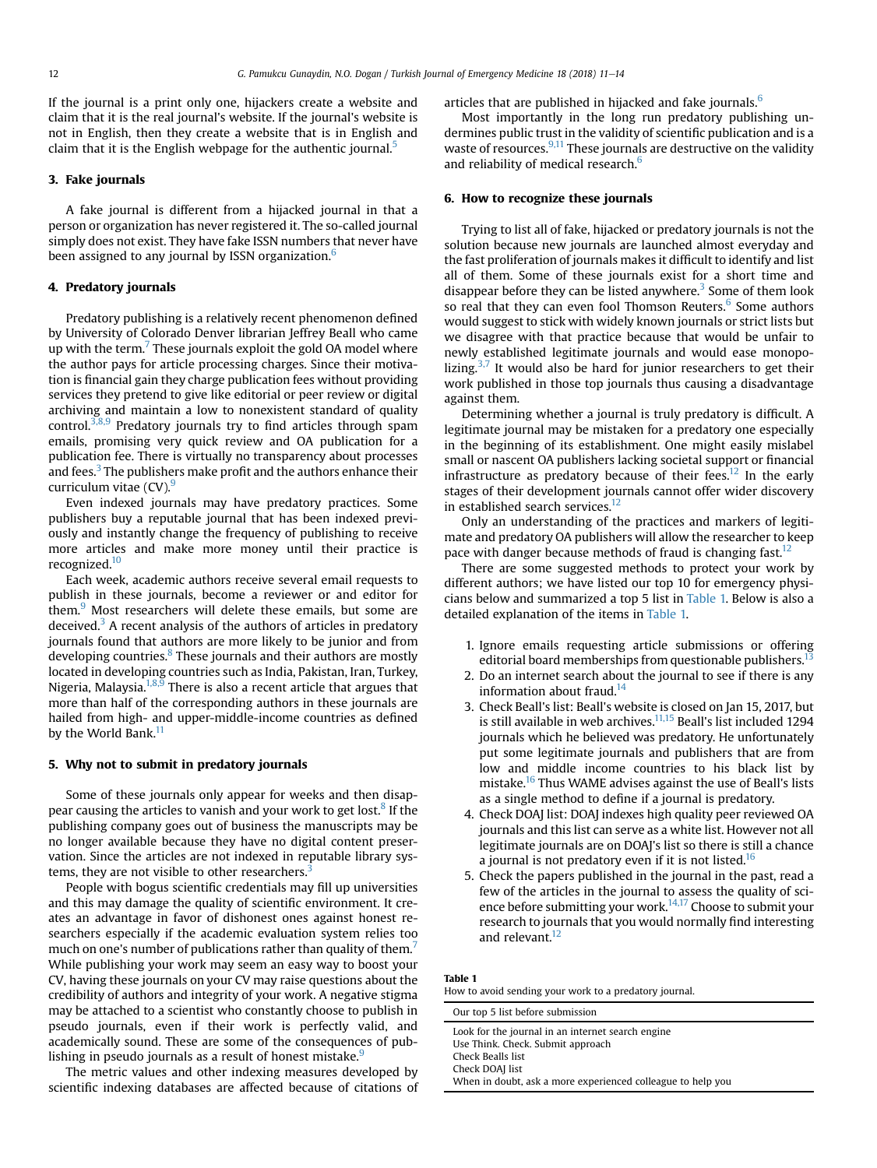If the journal is a print only one, hijackers create a website and claim that it is the real journal's website. If the journal's website is not in English, then they create a website that is in English and claim that it is the English webpage for the authentic journal.<sup>[5](#page-3-0)</sup>

# 3. Fake journals

A fake journal is different from a hijacked journal in that a person or organization has never registered it. The so-called journal simply does not exist. They have fake ISSN numbers that never have been assigned to any journal by ISSN organization.<sup>[6](#page-3-0)</sup>

## 4. Predatory journals

Predatory publishing is a relatively recent phenomenon defined by University of Colorado Denver librarian Jeffrey Beall who came up with the term.<sup>7</sup> These journals exploit the gold OA model where the author pays for article processing charges. Since their motivation is financial gain they charge publication fees without providing services they pretend to give like editorial or peer review or digital archiving and maintain a low to nonexistent standard of quality control.<sup>[3,8,9](#page-3-0)</sup> Predatory journals try to find articles through spam emails, promising very quick review and OA publication for a publication fee. There is virtually no transparency about processes and fees.<sup>3</sup> The publishers make profit and the authors enhance their curriculum vitae  $(CV)$ .

Even indexed journals may have predatory practices. Some publishers buy a reputable journal that has been indexed previously and instantly change the frequency of publishing to receive more articles and make more money until their practice is recognized.<sup>10</sup>

Each week, academic authors receive several email requests to publish in these journals, become a reviewer or and editor for them.<sup>[9](#page-3-0)</sup> Most researchers will delete these emails, but some are deceived.<sup>[3](#page-3-0)</sup> A recent analysis of the authors of articles in predatory journals found that authors are more likely to be junior and from developing countries. $8$  These journals and their authors are mostly located in developing countries such as India, Pakistan, Iran, Turkey, Nigeria, Malaysia.<sup>1,8,9</sup> There is also a recent article that argues that more than half of the corresponding authors in these journals are hailed from high- and upper-middle-income countries as defined by the World Bank.<sup>[11](#page-3-0)</sup>

#### 5. Why not to submit in predatory journals

Some of these journals only appear for weeks and then disap-pear causing the articles to vanish and your work to get lost.<sup>[8](#page-3-0)</sup> If the publishing company goes out of business the manuscripts may be no longer available because they have no digital content preservation. Since the articles are not indexed in reputable library sys-tems, they are not visible to other researchers.<sup>[3](#page-3-0)</sup>

People with bogus scientific credentials may fill up universities and this may damage the quality of scientific environment. It creates an advantage in favor of dishonest ones against honest researchers especially if the academic evaluation system relies too much on one's number of publications rather than quality of them.<sup>7</sup> While publishing your work may seem an easy way to boost your CV, having these journals on your CV may raise questions about the credibility of authors and integrity of your work. A negative stigma may be attached to a scientist who constantly choose to publish in pseudo journals, even if their work is perfectly valid, and academically sound. These are some of the consequences of pub-lishing in pseudo journals as a result of honest mistake.<sup>[9](#page-3-0)</sup>

The metric values and other indexing measures developed by scientific indexing databases are affected because of citations of articles that are published in hijacked and fake journals.<sup>[6](#page-3-0)</sup>

Most importantly in the long run predatory publishing undermines public trust in the validity of scientific publication and is a waste of resources.<sup>[9,11](#page-3-0)</sup> These journals are destructive on the validity and reliability of medical research.<sup>[6](#page-3-0)</sup>

# 6. How to recognize these journals

Trying to list all of fake, hijacked or predatory journals is not the solution because new journals are launched almost everyday and the fast proliferation of journals makes it difficult to identify and list all of them. Some of these journals exist for a short time and disappear before they can be listed anywhere. $3$  Some of them look so real that they can even fool Thomson Reuters.<sup>[6](#page-3-0)</sup> Some authors would suggest to stick with widely known journals or strict lists but we disagree with that practice because that would be unfair to newly established legitimate journals and would ease monopo-lizing.<sup>[3,7](#page-3-0)</sup> It would also be hard for junior researchers to get their work published in those top journals thus causing a disadvantage against them.

Determining whether a journal is truly predatory is difficult. A legitimate journal may be mistaken for a predatory one especially in the beginning of its establishment. One might easily mislabel small or nascent OA publishers lacking societal support or financial infrastructure as predatory because of their fees.<sup>[12](#page-3-0)</sup> In the early stages of their development journals cannot offer wider discovery in established search services.<sup>[12](#page-3-0)</sup>

Only an understanding of the practices and markers of legitimate and predatory OA publishers will allow the researcher to keep pace with danger because methods of fraud is changing fast.<sup>[12](#page-3-0)</sup>

There are some suggested methods to protect your work by different authors; we have listed our top 10 for emergency physicians below and summarized a top 5 list in Table 1. Below is also a detailed explanation of the items in Table 1.

- 1. Ignore emails requesting article submissions or offering editorial board memberships from questionable publishers.<sup>1</sup>
- 2. Do an internet search about the journal to see if there is any information about fraud.<sup>14</sup>
- 3. Check Beall's list: Beall's website is closed on Jan 15, 2017, but is still available in web archives. $11,15$  Beall's list included 1294 journals which he believed was predatory. He unfortunately put some legitimate journals and publishers that are from low and middle income countries to his black list by mistake[.16](#page-3-0) Thus WAME advises against the use of Beall's lists as a single method to define if a journal is predatory.
- 4. Check DOAJ list: DOAJ indexes high quality peer reviewed OA journals and this list can serve as a white list. However not all legitimate journals are on DOAJ's list so there is still a chance a journal is not predatory even if it is not listed.<sup>[16](#page-3-0)</sup>
- 5. Check the papers published in the journal in the past, read a few of the articles in the journal to assess the quality of sci-ence before submitting your work.<sup>[14,17](#page-3-0)</sup> Choose to submit your research to journals that you would normally find interesting and relevant.<sup>12</sup>

### Table 1

How to avoid sending your work to a predatory journal.

Our top 5 list before submission Look for the journal in an internet search engine Use Think. Check. Submit approach Check Bealls list

Check DOAJ list

When in doubt, ask a more experienced colleague to help you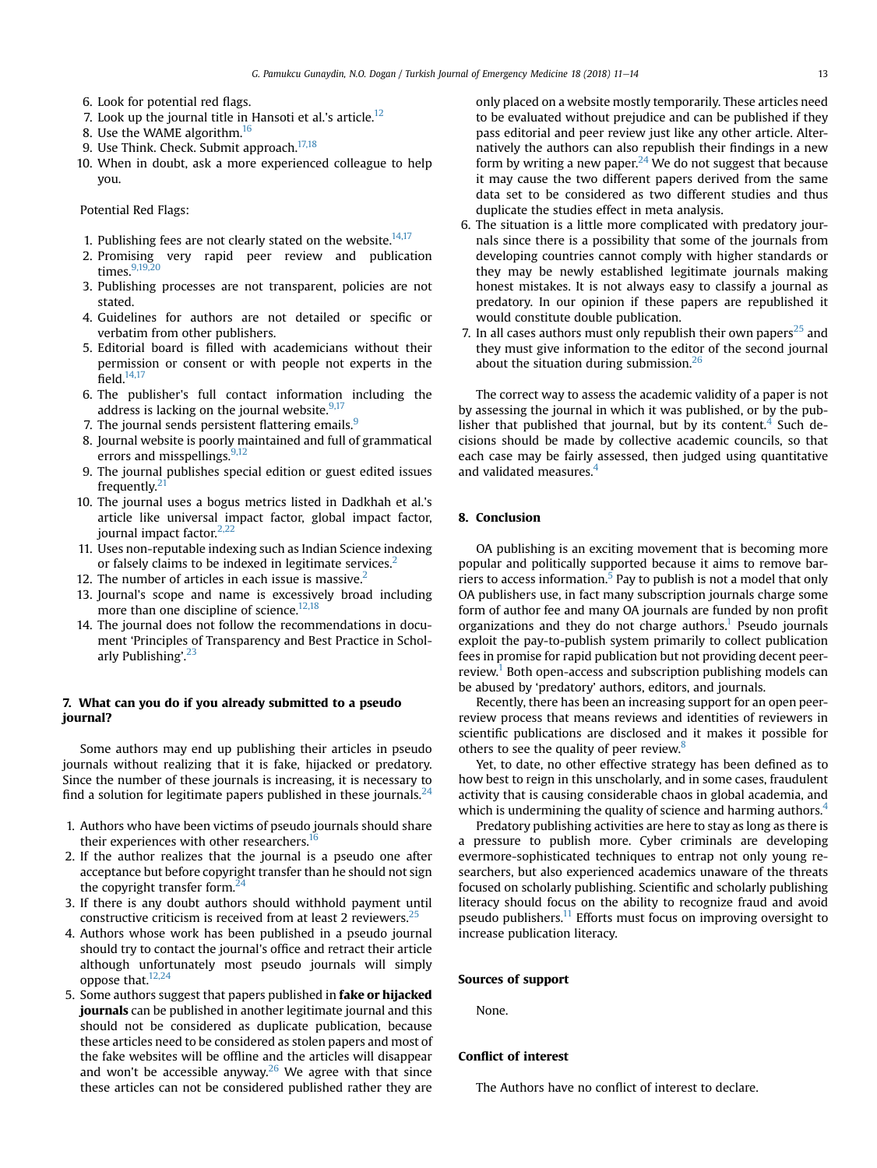- 6. Look for potential red flags.
- 7. Look up the journal title in Hansoti et al.'s article.<sup>12</sup>
- 8. Use the WAME algorithm.<sup>[16](#page-3-0)</sup>
- 9. Use Think. Check. Submit approach. $17,18$
- 10. When in doubt, ask a more experienced colleague to help you.

Potential Red Flags:

- 1. Publishing fees are not clearly stated on the website. $14,17$
- 2. Promising very rapid peer review and publication times.<sup>9,19,20</sup>
- 3. Publishing processes are not transparent, policies are not stated.
- 4. Guidelines for authors are not detailed or specific or verbatim from other publishers.
- 5. Editorial board is filled with academicians without their permission or consent or with people not experts in the field. $14,17$
- 6. The publisher's full contact information including the address is lacking on the journal website. $9,17$
- 7. The journal sends persistent flattering emails.<sup>[9](#page-3-0)</sup>
- 8. Journal website is poorly maintained and full of grammatical errors and misspellings.<sup>[9,12](#page-3-0)</sup>
- 9. The journal publishes special edition or guest edited issues frequently. $21$
- 10. The journal uses a bogus metrics listed in Dadkhah et al.'s article like universal impact factor, global impact factor, journal impact factor. $2,22$
- 11. Uses non-reputable indexing such as Indian Science indexing or falsely claims to be indexed in legitimate services.<sup>2</sup>
- 12. The number of articles in each issue is massive. $<sup>2</sup>$ </sup>
- 13. Journal's scope and name is excessively broad including more than one discipline of science. $12,18$
- 14. The journal does not follow the recommendations in document 'Principles of Transparency and Best Practice in Schol-arly Publishing'.<sup>[23](#page-3-0)</sup>

# 7. What can you do if you already submitted to a pseudo journal?

Some authors may end up publishing their articles in pseudo journals without realizing that it is fake, hijacked or predatory. Since the number of these journals is increasing, it is necessary to find a solution for legitimate papers published in these journals. $<sup>2</sup>$ </sup>

- 1. Authors who have been victims of pseudo journals should share their experiences with other researchers.<sup>1</sup>
- 2. If the author realizes that the journal is a pseudo one after acceptance but before copyright transfer than he should not sign the copyright transfer form.<sup>2</sup>
- 3. If there is any doubt authors should withhold payment until constructive criticism is received from at least 2 reviewers.<sup>2</sup>
- 4. Authors whose work has been published in a pseudo journal should try to contact the journal's office and retract their article although unfortunately most pseudo journals will simply oppose that[.12,24](#page-3-0)
- 5. Some authors suggest that papers published in fake or hijacked journals can be published in another legitimate journal and this should not be considered as duplicate publication, because these articles need to be considered as stolen papers and most of the fake websites will be offline and the articles will disappear and won't be accessible anyway.<sup>26</sup> We agree with that since these articles can not be considered published rather they are

only placed on a website mostly temporarily. These articles need to be evaluated without prejudice and can be published if they pass editorial and peer review just like any other article. Alternatively the authors can also republish their findings in a new form by writing a new paper. <sup>[24](#page-3-0)</sup> We do not suggest that because it may cause the two different papers derived from the same data set to be considered as two different studies and thus duplicate the studies effect in meta analysis.

- 6. The situation is a little more complicated with predatory journals since there is a possibility that some of the journals from developing countries cannot comply with higher standards or they may be newly established legitimate journals making honest mistakes. It is not always easy to classify a journal as predatory. In our opinion if these papers are republished it would constitute double publication.
- 7. In all cases authors must only republish their own papers $^{25}$  and they must give information to the editor of the second journal about the situation during submission.<sup>[26](#page-3-0)</sup>

The correct way to assess the academic validity of a paper is not by assessing the journal in which it was published, or by the publisher that published that journal, but by its content. $4$  Such decisions should be made by collective academic councils, so that each case may be fairly assessed, then judged using quantitative and validated measures.<sup>4</sup>

### 8. Conclusion

OA publishing is an exciting movement that is becoming more popular and politically supported because it aims to remove bar-riers to access information.<sup>[5](#page-3-0)</sup> Pay to publish is not a model that only OA publishers use, in fact many subscription journals charge some form of author fee and many OA journals are funded by non profit organizations and they do not charge authors.<sup>1</sup> Pseudo journals exploit the pay-to-publish system primarily to collect publication fees in promise for rapid publication but not providing decent peer-review.<sup>[1](#page-3-0)</sup> Both open-access and subscription publishing models can be abused by 'predatory' authors, editors, and journals.

Recently, there has been an increasing support for an open peerreview process that means reviews and identities of reviewers in scientific publications are disclosed and it makes it possible for others to see the quality of peer review.<sup>[8](#page-3-0)</sup>

Yet, to date, no other effective strategy has been defined as to how best to reign in this unscholarly, and in some cases, fraudulent activity that is causing considerable chaos in global academia, and which is undermining the quality of science and harming authors.<sup>4</sup>

Predatory publishing activities are here to stay as long as there is a pressure to publish more. Cyber criminals are developing evermore-sophisticated techniques to entrap not only young researchers, but also experienced academics unaware of the threats focused on scholarly publishing. Scientific and scholarly publishing literacy should focus on the ability to recognize fraud and avoid pseudo publishers. $<sup>11</sup>$  $<sup>11</sup>$  $<sup>11</sup>$  Efforts must focus on improving oversight to</sup> increase publication literacy.

#### Sources of support

None.

## Conflict of interest

The Authors have no conflict of interest to declare.